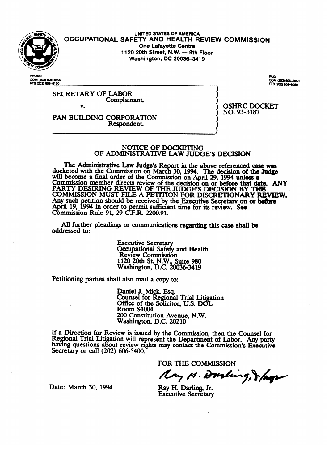

UNITED STATES OF AMERICA **OCCUPATIONAL SAFETY AND HEALTH REVIEW COMMISSION**<br>One Lafayette Centre 1120 20th Street, N.W. - 9th Floor **1120 20th Street, N.W. - 9th** Floor **Washington, DC 20036-341~** 

COM (202) 606-6100 FTS (202) 606-6100

SECRETARY COMPLAIN somplaine V.

v. PAN BUILDING CORPORATION Respondent. Respondent.

OSHRC DOCKET<br>NO. 93-3187  $\cdots$ ,  $\cdots$ 

#### NOTICE OF DOCKETING OF ADMINISTRATIVE LAW JUDGE'S DECISION

The Administrative Law Judge's Report in the above referenced case was docketed with the Commission on March 30, 1994. The decision of the Judge will become a final order of the Commission on April 29, 1994 unless a WILL DECOME a final order of the Commission on April 29, 1994 unless a commission marshes disease in the details. **COMMISSION MEMBER GIFECTS FEVIEW OF the GECISION ON OF before that day**<br>DADTV DESIDING DEVIEW OF THE HIDGE'S DEGISION BY THE Commission member directs review of the **decision on or** before that chte. ANY COMMISSION MOST FILE A PETITION FOR DISCRETIONARY<br>Any such petition should be received by the Francisc Secretary of an Any such pennon should be received by the **Executive Secretary on or before**<br>Anril 10, 1004 in order to permit sufficient time for its review. See April 19, 1994 in order to permit summetent time for its review. See<br>Commission Rule 01, 20 C E D, 2200.01 Commission Kuit 91, 29 C.F.K.  $2200.91$ .

All further pleadings or communications regarding this case shall be  $A$  further pleading or communications regarding the communications regarding the case shall be communicated that  $A$ 

> **Executive Secretary** Occupational Safety and Health<br>Review Commission  $1120$  20th St. N.W., Suite 980 Vashington, D.C. 200 1120 20th St. N.W., Suite 980

Petitioning parties shall also mail a copy to:

Daniel J. Mick, Esq.<br>Counsel for Regional Trial Litigation Office of the Solicitor, U.S. DOL<br>Room S4004 Room S4004 **Counsel For Alliance** Re 'on at the *Litia* Liti at the *Litia* Liti  $200$  Constitution Avenue, N.W. Washington, I

**200 Constitution** Avenue, *Commission*  $\frac{1}{2}$  as issued by the Company of  $\frac{1}{2}$ having questions about review rights may contact the Commission's Executive Secretary or call (202) 606-5400.

FOR THE COMMISSION

Ray M. Durling, & lags

Date: March 30, 1994

Ray H. Darling, Jr. **Executive Secretary** 

 $\mathcal{L}_{\mathcal{L}}$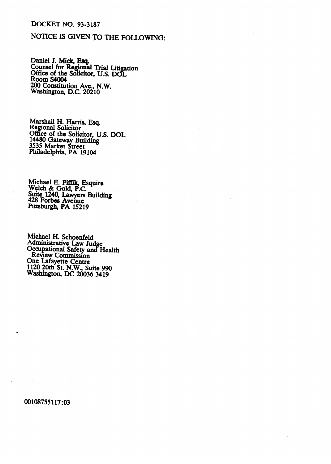#### **DOCKET NO. 93-3187**

## NOTICE IS GIVEN TO THE FOLLOWING:

Daniel J. Mick, Esq.<br>Counsel for Regional Trial Litigation<br>Office of the Solicitor, U.S. DOL<br>Room S4004 200 Constitution Ave., N.W.<br>Washington, D.C. 20210

Marshall H. Harris, Esq.<br>Regional Solicitor<br>Office of the Solicitor, U.S. DOL 14480 Gateway Building<br>3535 Market Street<br>Philadelphia, PA 19104

Michael E. Fiffik, Esquire<br>Welch & Gold, P.C.<br>Suite 1240, Lawyers Building<br>428 Forbes Avenue<br>Pittsburgh, PA 15219

Michael H. Schoenfeld Administrative Law Judge<br>Occupational Safety and Health<br>Review Commission One Lafayette Centre<br>1120 20th St. N.W., Suite 990<br>Washington, DC 20036 3419

00108755117:03

 $\bar{z}$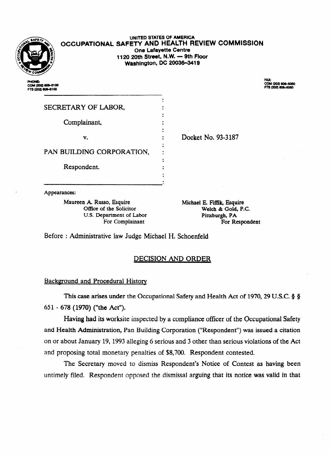

UNITED STATES Of AMERICA **OCCUPATIONAL SAFETY AND HEALTH REVIEW COMMISSION One Lafayette Centre 1120 20th Street, N.W. - 9th Floor Washington, DC 20036-3419** 

COM (202) 606-6100 FTS (202) 806-6100

**FAX:** COM (202) 606-6060<br>FTS (202) 606-6060

| SECRETARY OF LABOR,       |                    |
|---------------------------|--------------------|
| Complainant,              |                    |
| v.                        | Docket No. 93-3187 |
| PAN BUILDING CORPORATION, |                    |
| Respondent.               |                    |
|                           |                    |

Appearances:<br>Maureen A. Russo, Esquire n A. Russo, Esquire<br>
Office of the Solicitor<br>
Welch & Gold, P.C. U.S. Department of Labor Bittsburgh, PA For Complainant For Respondent

For Complainant **Example 1** For Respondent

Before : Administrative law Judge Michael H. Schoenfeld

### **DECISION AND ORDER**

.

# Background and Procedural Historic Company and Procedural Historic Company and Procedural Historic Company and<br>References

This case arises under the Occupational Safety and Health Act of 1970, 29 U.S.C. § § The  $\sim$  case arises under the Occupational Safety and Health Act of 1970, 2970, 2970, 2970, 2970, 2970, 2970, 2970, 2970, 2970, 2970, 2970, 2970, 2970, 2970, 2970, 2970, 2970, 2970, 2970, 2970, 2970, 2970, 2970, 2970, 29

Having had its worksite inspected by a compliance officer of the Occupational Safety and Health Administration, Pan Building Corporation ("Respondent") was issued a citation on or about January 19, 1993 alleging 6 serious and 3 other than serious violations of the Act and proposing total monetary penalties of \$8,700. Respondent contested.

The Secretary moved to dismiss Respondent's Notice of Contest as having been untimely filed. Respondent opposed the dismissal arguing that its notice was valid in that